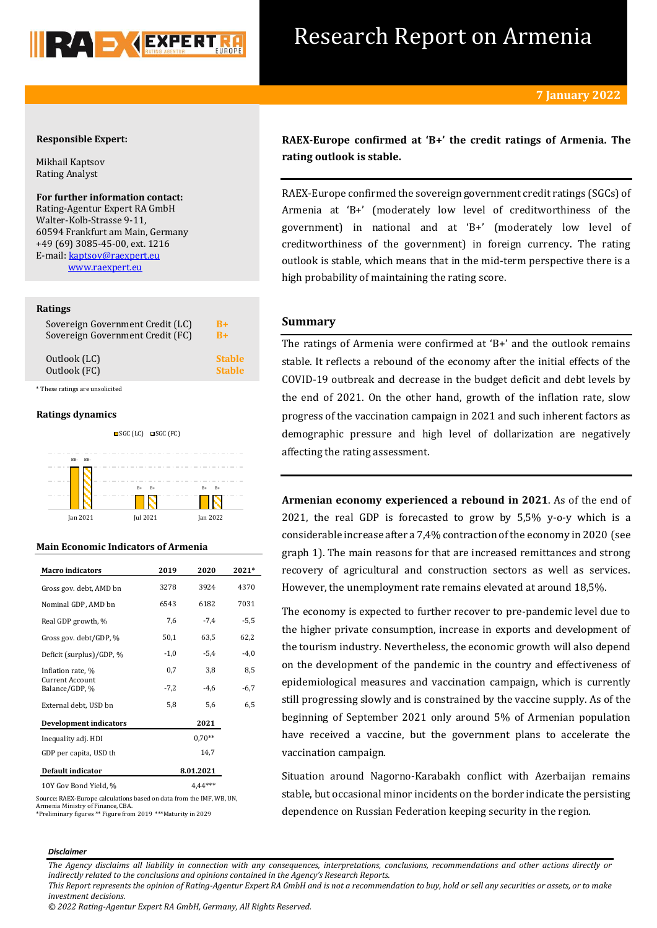

# Research Report on Armenia

## **Responsible Expert:**

Mikhail Kaptsov Rating Analyst

**For further information contact:** Rating-Agentur Expert RA GmbH Walter-Kolb-Strasse 9-11, 60594 Frankfurt am Main, Germany +49 (69) 3085-45-00, ext. 1216 E-mail[: kaptsov@raexpert.eu](mailto:kaptsov@raexpert.eu) [www.raexpert.eu](http://raexpert.eu/)

#### **Ratings**

| Sovereign Government Credit (LC) | R+            |
|----------------------------------|---------------|
| Sovereign Government Credit (FC) | $B+$          |
| Outlook (LC)                     | <b>Stable</b> |
| Outlook (FC)                     | <b>Stable</b> |

\* These ratings are unsolicited

## **Ratings dynamics**



## **Main Economic Indicators of Armenia**

| <b>Macro</b> indicators                  | 2019      | 2020     | 2021*  |
|------------------------------------------|-----------|----------|--------|
| Gross gov. debt, AMD bn                  | 3278      | 3924     | 4370   |
| Nominal GDP, AMD bn                      | 6543      | 6182     | 7031   |
| Real GDP growth, %                       | 7,6       | $-7,4$   | -5,5   |
| Gross gov. debt/GDP, %                   | 50,1      | 63,5     | 62,2   |
| Deficit (surplus)/GDP, %                 | $-1,0$    | $-5,4$   | $-4,0$ |
| Inflation rate, %                        | 0,7       | 3,8      | 8,5    |
| <b>Current Account</b><br>Balance/GDP, % | $-7,2$    | $-4,6$   | $-6,7$ |
| External debt, USD bn                    | 5,8       | 5,6      | 6,5    |
| <b>Development indicators</b>            |           | 2021     |        |
| Inequality adj. HDI                      |           | $0.70**$ |        |
| GDP per capita, USD th                   |           | 14,7     |        |
| <b>Default indicator</b>                 | 8.01.2021 |          |        |
| 10Y Gov Bond Yield, %                    |           |          |        |

Source: RAEX-Europe calculations based on data from the IMF, WB, UN, Armenia Ministry of Finance, CBA. \*Preliminary figures \*\* Figure from 2019 \*\*\*Maturity in 2029

**RAEX-Europe confirmed at 'B+' the credit ratings of Armenia. The rating outlook is stable.**

RAEX-Europe confirmed the sovereign government credit ratings (SGCs) of Armenia at 'B+' (moderately low level of creditworthiness of the government) in national and at 'B+' (moderately low level of creditworthiness of the government) in foreign currency. The rating outlook is stable, which means that in the mid-term perspective there is a high probability of maintaining the rating score.

## **Summary**

The ratings of Armenia were confirmed at 'B+' and the outlook remains stable. It reflects a rebound of the economy after the initial effects of the COVID-19 outbreak and decrease in the budget deficit and debt levels by the end of 2021. On the other hand, growth of the inflation rate, slow progress of the vaccination campaign in 2021 and such inherent factors as demographic pressure and high level of dollarization are negatively affecting the rating assessment.

**Armenian economy experienced a rebound in 2021**. As of the end of 2021, the real GDP is forecasted to grow by 5,5% y-o-y which is a considerable increase after a 7,4% contraction of the economy in 2020 (see graph 1). The main reasons for that are increased remittances and strong recovery of agricultural and construction sectors as well as services. However, the unemployment rate remains elevated at around 18,5%.

The economy is expected to further recover to pre-pandemic level due to the higher private consumption, increase in exports and development of the tourism industry. Nevertheless, the economic growth will also depend on the development of the pandemic in the country and effectiveness of epidemiological measures and vaccination campaign, which is currently still progressing slowly and is constrained by the vaccine supply. As of the beginning of September 2021 only around 5% of Armenian population have received a vaccine, but the government plans to accelerate the vaccination campaign.

Situation around Nagorno-Karabakh conflict with Azerbaijan remains stable, but occasional minor incidents on the border indicate the persisting dependence on Russian Federation keeping security in the region.

## *Disclaimer*

*The Agency disclaims all liability in connection with any consequences, interpretations, conclusions, recommendations and other actions directly or indirectly related to the conclusions and opinions contained in the Agency's Research Reports.*

*© 2022 Rating-Agentur Expert RA GmbH, Germany, All Rights Reserved.*

*This Report represents the opinion of Rating-Agentur Expert RA GmbH and is not a recommendation to buy, hold or sell any securities or assets, or to make investment decisions.*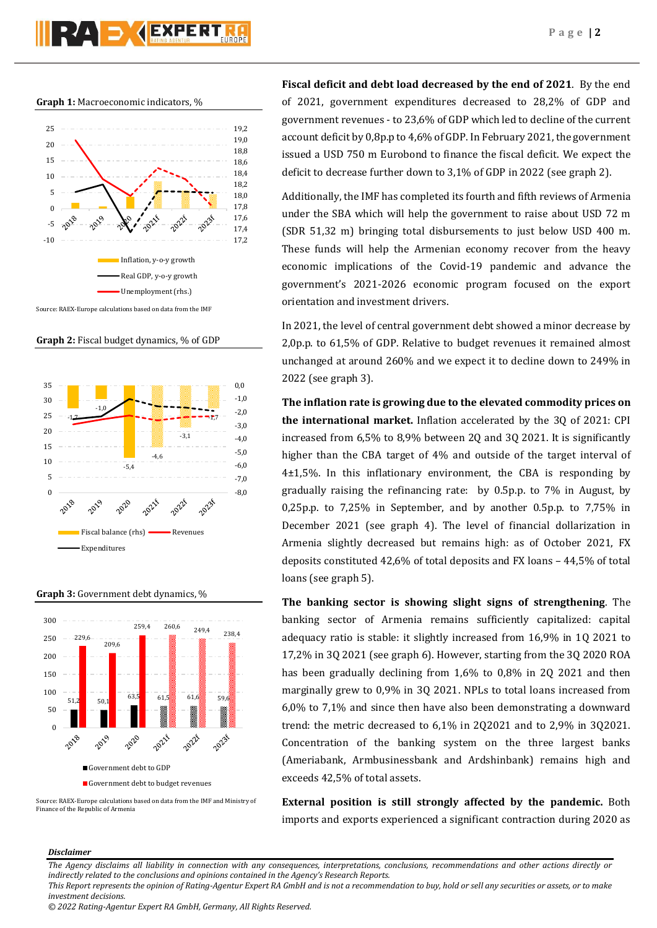

**Graph 1:** Macroeconomic indicators, %



Source: RAEX-Europe calculations based on data from the IMF

**Graph 2:** Fiscal budget dynamics, % of GDP



**Graph 3:** Government debt dynamics, %



Source: RAEX-Europe calculations based on data from the IMF and Ministry of Finance of the Republic of Armenia

**Fiscal deficit and debt load decreased by the end of 2021**. By the end of 2021, government expenditures decreased to 28,2% of GDP and government revenues - to 23,6% of GDP which led to decline of the current account deficit by 0,8p.p to 4,6% of GDP. In February 2021, the government issued a USD 750 m Eurobond to finance the fiscal deficit. We expect the deficit to decrease further down to 3,1% of GDP in 2022 (see graph 2).

Additionally, the IMF has completed its fourth and fifth reviews of Armenia under the SBA which will help the government to raise about USD 72 m (SDR 51,32 m) bringing total disbursements to just below USD 400 m. These funds will help the Armenian economy recover from the heavy economic implications of the Covid-19 pandemic and advance the government's 2021-2026 economic program focused on the export orientation and investment drivers.

In 2021, the level of central government debt showed a minor decrease by 2,0p.p. to 61,5% of GDP. Relative to budget revenues it remained almost unchanged at around 260% and we expect it to decline down to 249% in 2022 (see graph 3).

**The inflation rate is growing due to the elevated commodity prices on the international market.** Inflation accelerated by the 3Q of 2021: CPI increased from 6,5% to 8,9% between 2Q and 3Q 2021. It is significantly higher than the CBA target of 4% and outside of the target interval of 4±1,5%. In this inflationary environment, the CBA is responding by gradually raising the refinancing rate: by 0.5p.p. to 7% in August, by 0,25p.p. to 7,25% in September, and by another 0.5p.p. to 7,75% in December 2021 (see graph 4). The level of financial dollarization in Armenia slightly decreased but remains high: as of October 2021, FX deposits constituted 42,6% of total deposits and FX loans – 44,5% of total loans (see graph 5).

**The banking sector is showing slight signs of strengthening**. The banking sector of Armenia remains sufficiently capitalized: capital adequacy ratio is stable: it slightly increased from 16,9% in 1Q 2021 to 17,2% in 3Q 2021 (see graph 6). However, starting from the 3Q 2020 ROA has been gradually declining from 1,6% to 0,8% in 2Q 2021 and then marginally grew to 0,9% in 3Q 2021. NPLs to total loans increased from 6,0% to 7,1% and since then have also been demonstrating a downward trend: the metric decreased to 6,1% in 2Q2021 and to 2,9% in 3Q2021. Concentration of the banking system on the three largest banks (Ameriabank, Armbusinessbank and Ardshinbank) remains high and exceeds 42,5% of total assets.

**External position is still strongly affected by the pandemic.** Both imports and exports experienced a significant contraction during 2020 as

## *Disclaimer*

*The Agency disclaims all liability in connection with any consequences, interpretations, conclusions, recommendations and other actions directly or indirectly related to the conclusions and opinions contained in the Agency's Research Reports.*

*This Report represents the opinion of Rating-Agentur Expert RA GmbH and is not a recommendation to buy, hold or sell any securities or assets, or to make investment decisions.*

*<sup>© 2022</sup> Rating-Agentur Expert RA GmbH, Germany, All Rights Reserved.*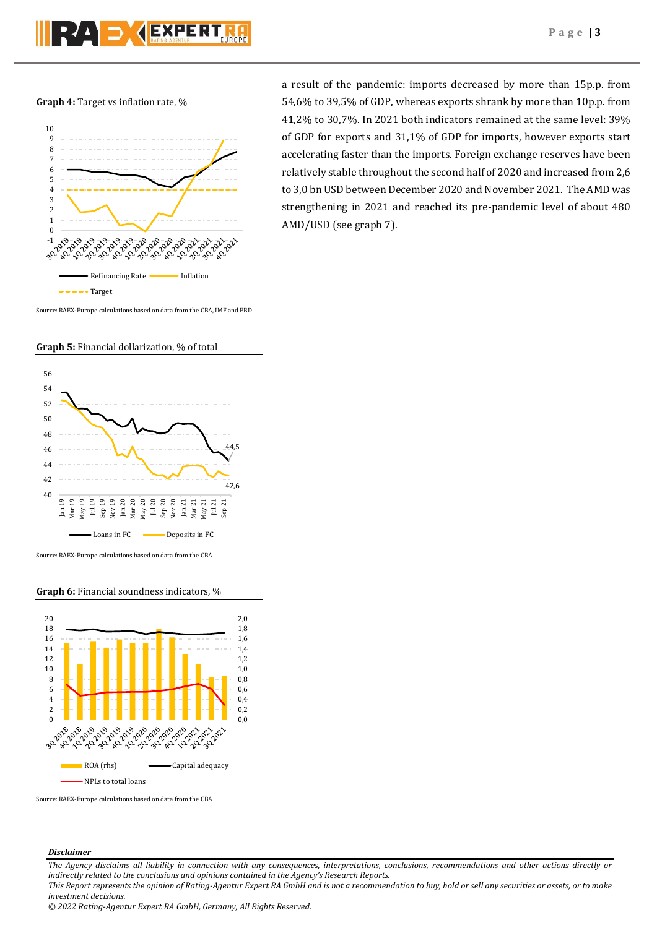**Graph 4:** Target vs inflation rate, %



Source: RAEX-Europe calculations based on data from the CBA, IMF and EBD



## **Graph 5:** Financial dollarization, % of total

Source: RAEX-Europe calculations based on data from the CBA

## **Graph 6:** Financial soundness indicators, %



Source: RAEX-Europe calculations based on data from the CBA

### *Disclaimer*

*The Agency disclaims all liability in connection with any consequences, interpretations, conclusions, recommendations and other actions directly or indirectly related to the conclusions and opinions contained in the Agency's Research Reports. This Report represents the opinion of Rating-Agentur Expert RA GmbH and is not a recommendation to buy, hold or sell any securities or assets, or to make* 

*investment decisions.*

*© 2022 Rating-Agentur Expert RA GmbH, Germany, All Rights Reserved.*

a result of the pandemic: imports decreased by more than 15p.p. from 54,6% to 39,5% of GDP, whereas exports shrank by more than 10p.p. from 41,2% to 30,7%. In 2021 both indicators remained at the same level: 39% of GDP for exports and 31,1% of GDP for imports, however exports start accelerating faster than the imports. Foreign exchange reserves have been relatively stable throughout the second half of 2020 and increased from 2,6 to 3,0 bn USD between December 2020 and November 2021. The AMD was strengthening in 2021 and reached its pre-pandemic level of about 480 AMD/USD (see graph 7).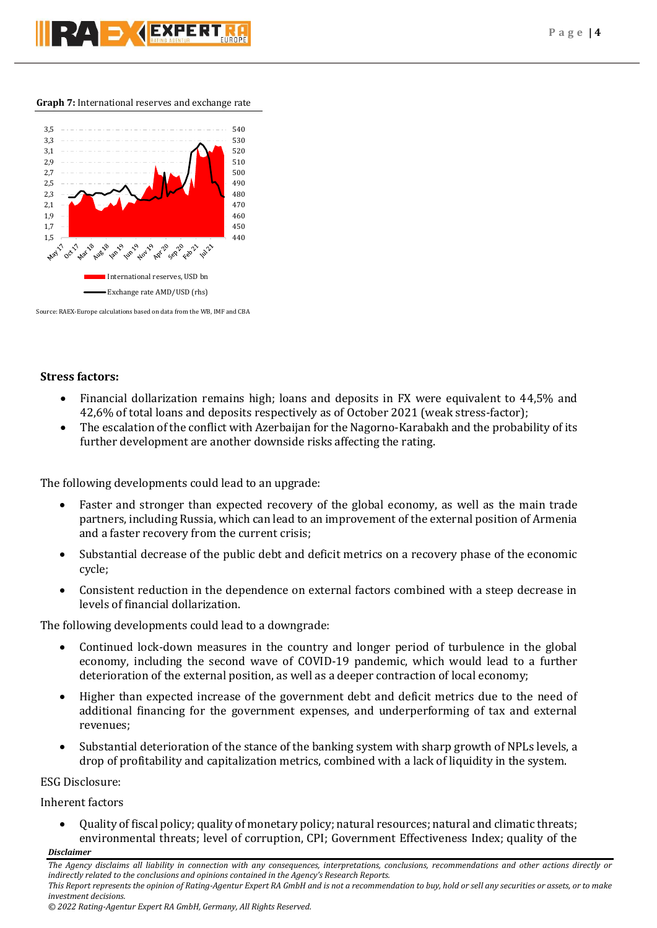

## **Graph 7:** International reserves and exchange rate



Source: RAEX-Europe calculations based on data from the WB, IMF and CBA

## **Stress factors:**

- Financial dollarization remains high; loans and deposits in FX were equivalent to 44,5% and 42,6% of total loans and deposits respectively as of October 2021 (weak stress-factor);
- The escalation of the conflict with Azerbaijan for the Nagorno-Karabakh and the probability of its further development are another downside risks affecting the rating.

The following developments could lead to an upgrade:

- Faster and stronger than expected recovery of the global economy, as well as the main trade partners, including Russia, which can lead to an improvement of the external position of Armenia and a faster recovery from the current crisis;
- Substantial decrease of the public debt and deficit metrics on a recovery phase of the economic cycle;
- Consistent reduction in the dependence on external factors combined with a steep decrease in levels of financial dollarization.

The following developments could lead to a downgrade:

- Continued lock-down measures in the country and longer period of turbulence in the global economy, including the second wave of COVID-19 pandemic, which would lead to a further deterioration of the external position, as well as a deeper contraction of local economy;
- Higher than expected increase of the government debt and deficit metrics due to the need of additional financing for the government expenses, and underperforming of tax and external revenues;
- Substantial deterioration of the stance of the banking system with sharp growth of NPLs levels, a drop of profitability and capitalization metrics, combined with a lack of liquidity in the system.

## ESG Disclosure:

Inherent factors

 Quality of fiscal policy; quality of monetary policy; natural resources; natural and climatic threats; environmental threats; level of corruption, CPI; Government Effectiveness Index; quality of the

## *Disclaimer*

*investment decisions.*

*The Agency disclaims all liability in connection with any consequences, interpretations, conclusions, recommendations and other actions directly or indirectly related to the conclusions and opinions contained in the Agency's Research Reports. This Report represents the opinion of Rating-Agentur Expert RA GmbH and is not a recommendation to buy, hold or sell any securities or assets, or to make*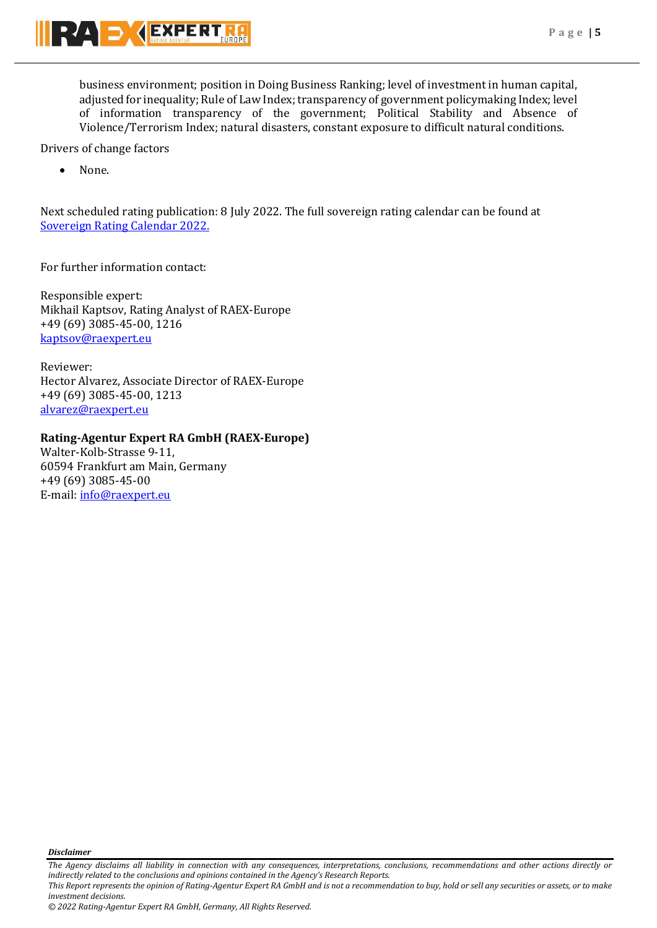business environment; position in Doing Business Ranking; level of investment in human capital, adjusted for inequality; Rule of Law Index; transparency of government policymaking Index; level of information transparency of the government; Political Stability and Absence of Violence/Terrorism Index; natural disasters, constant exposure to difficult natural conditions.

Drivers of change factors

• None.

Next scheduled rating publication: 8 July 2022. The full sovereign rating calendar can be found at [Sovereign Rating Calendar 2022.](https://raexpert.eu/sovereign/#conf-tab-5)

For further information contact:

Responsible expert: Mikhail Kaptsov, Rating Analyst of RAEX-Europe +49 (69) 3085-45-00, 1216 [kaptsov@raexpert.eu](mailto:kaptsov@raexpert.eu)

Reviewer: Hector Alvarez, Associate Director of RAEX-Europe +49 (69) 3085-45-00, 1213 [alvarez@raexpert.eu](mailto:alvarez@raexpert.eu)

## **Rating-Agentur Expert RA GmbH (RAEX-Europe)**

Walter-Kolb-Strasse 9-11, 60594 Frankfurt am Main, Germany +49 (69) 3085-45-00 E-mail[: info@raexpert.eu](mailto:info@raexpert.eu)

*Disclaimer* 

*The Agency disclaims all liability in connection with any consequences, interpretations, conclusions, recommendations and other actions directly or indirectly related to the conclusions and opinions contained in the Agency's Research Reports. This Report represents the opinion of Rating-Agentur Expert RA GmbH and is not a recommendation to buy, hold or sell any securities or assets, or to make* 

*investment decisions.*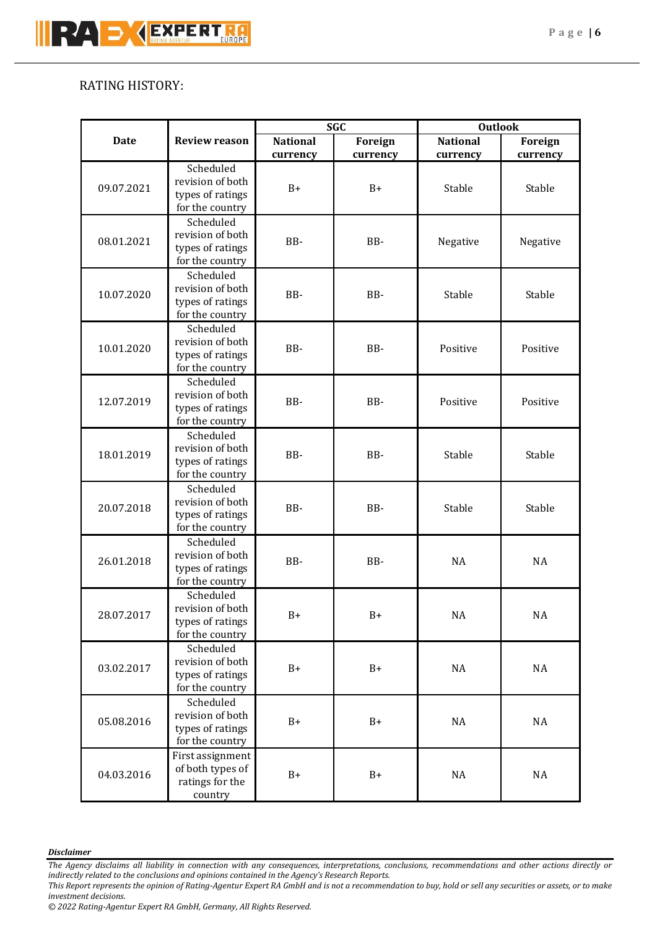# RATING HISTORY:

|             |                                      | <b>SGC</b>       |            | <b>Outlook</b>  |           |           |          |
|-------------|--------------------------------------|------------------|------------|-----------------|-----------|-----------|----------|
| <b>Date</b> | <b>Review reason</b>                 | <b>National</b>  | Foreign    | <b>National</b> | Foreign   |           |          |
|             |                                      | currency         | currency   | currency        | currency  |           |          |
| 09.07.2021  | Scheduled                            |                  |            |                 |           |           |          |
|             | revision of both                     | $B+$             | $B+$       | Stable          | Stable    |           |          |
|             | types of ratings                     |                  |            |                 |           |           |          |
|             | for the country                      |                  |            |                 |           |           |          |
|             | Scheduled                            |                  |            |                 |           |           |          |
| 08.01.2021  | revision of both                     |                  | BB-        | BB-             | Negative  | Negative  |          |
|             | types of ratings                     |                  |            |                 |           |           |          |
|             | for the country                      |                  |            |                 |           |           |          |
|             | Scheduled<br>revision of both        |                  |            |                 |           |           |          |
| 10.07.2020  | types of ratings                     | BB-              | BB-        | Stable          | Stable    |           |          |
|             | for the country                      |                  |            |                 |           |           |          |
|             | Scheduled                            |                  |            |                 |           |           |          |
|             | revision of both                     |                  |            | Positive        | Positive  |           |          |
| 10.01.2020  | types of ratings                     | BB-              | BB-        |                 |           |           |          |
|             | for the country                      |                  |            |                 |           |           |          |
|             | Scheduled                            |                  |            |                 |           |           |          |
|             | revision of both                     |                  | BB-<br>BB- | Positive        | Positive  |           |          |
| 12.07.2019  | types of ratings                     |                  |            |                 |           |           |          |
|             | for the country                      |                  |            |                 |           |           |          |
|             | Scheduled                            |                  |            |                 |           |           |          |
|             | revision of both                     |                  |            |                 |           |           |          |
| 18.01.2019  | types of ratings                     | BB-              | BB-        | Stable          | Stable    |           |          |
|             | for the country                      |                  |            |                 |           |           |          |
|             | Scheduled                            |                  |            |                 |           |           |          |
| 20.07.2018  | revision of both                     | BB-              | BB-        | Stable          | Stable    |           |          |
|             | types of ratings                     |                  |            |                 |           |           |          |
|             | for the country                      |                  |            |                 |           |           |          |
|             | Scheduled                            |                  |            |                 |           |           |          |
| 26.01.2018  | revision of both                     | BB-              | BB-        | <b>NA</b>       | <b>NA</b> |           |          |
|             | types of ratings                     |                  |            |                 |           |           |          |
|             | for the country                      |                  |            |                 |           |           |          |
| 28.07.2017  | Scheduled                            | $B+$             |            |                 |           |           |          |
|             | revision of both<br>types of ratings |                  |            |                 | $B+$      | <b>NA</b> | NA       |
|             | for the country                      |                  |            |                 |           |           |          |
|             | Scheduled                            |                  |            |                 |           |           |          |
|             | revision of both                     |                  |            |                 |           |           |          |
| 03.02.2017  | types of ratings                     | $B+$             | $B+$       | $\rm NA$        | NA        |           |          |
|             | for the country                      |                  |            |                 |           |           |          |
| 05.08.2016  |                                      | Scheduled        |            |                 |           |           |          |
|             |                                      | revision of both |            |                 |           |           |          |
|             | types of ratings                     | $B+$             | $B+$       | $\rm NA$        | $\rm NA$  |           |          |
|             | for the country                      |                  |            |                 |           |           |          |
| 04.03.2016  | First assignment                     | $B+$             |            |                 |           |           |          |
|             | of both types of                     |                  |            |                 | $B+$      | $\rm NA$  | $\rm NA$ |
|             | ratings for the                      |                  |            |                 |           |           |          |
|             | country                              |                  |            |                 |           |           |          |

## *Disclaimer*

*The Agency disclaims all liability in connection with any consequences, interpretations, conclusions, recommendations and other actions directly or indirectly related to the conclusions and opinions contained in the Agency's Research Reports.*

*This Report represents the opinion of Rating-Agentur Expert RA GmbH and is not a recommendation to buy, hold or sell any securities or assets, or to make investment decisions.*